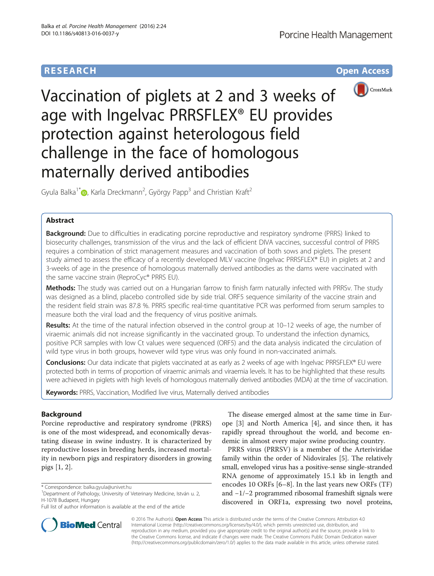

Vaccination of piglets at 2 and 3 weeks of age with Ingelvac PRRSFLEX® EU provides protection against heterologous field challenge in the face of homologous maternally derived antibodies

Gyula Balka $^{1^{\ast}}$  [,](http://orcid.org/0000-0003-2742-173X) Karla Dreckmann $^{2}$ , György Papp $^{3}$  and Christian Kraft $^{2}$ 

# Abstract

**Background:** Due to difficulties in eradicating porcine reproductive and respiratory syndrome (PRRS) linked to biosecurity challenges, transmission of the virus and the lack of efficient DIVA vaccines, successful control of PRRS requires a combination of strict management measures and vaccination of both sows and piglets. The present study aimed to assess the efficacy of a recently developed MLV vaccine (Ingelvac PRRSFLEX® EU) in piglets at 2 and 3-weeks of age in the presence of homologous maternally derived antibodies as the dams were vaccinated with the same vaccine strain (ReproCyc® PRRS EU).

Methods: The study was carried out on a Hungarian farrow to finish farm naturally infected with PRRSv. The study was designed as a blind, placebo controlled side by side trial. ORF5 sequence similarity of the vaccine strain and the resident field strain was 87.8 %. PRRS specific real-time quantitative PCR was performed from serum samples to measure both the viral load and the frequency of virus positive animals.

Results: At the time of the natural infection observed in the control group at 10–12 weeks of age, the number of viraemic animals did not increase significantly in the vaccinated group. To understand the infection dynamics, positive PCR samples with low Ct values were sequenced (ORF5) and the data analysis indicated the circulation of wild type virus in both groups, however wild type virus was only found in non-vaccinated animals.

Conclusions: Our data indicate that piglets vaccinated at as early as 2 weeks of age with Ingelvac PRRSFLEX® EU were protected both in terms of proportion of viraemic animals and viraemia levels. It has to be highlighted that these results were achieved in piglets with high levels of homologous maternally derived antibodies (MDA) at the time of vaccination.

Keywords: PRRS, Vaccination, Modified live virus, Maternally derived antibodies

# Background

Porcine reproductive and respiratory syndrome (PRRS) is one of the most widespread, and economically devastating disease in swine industry. It is characterized by reproductive losses in breeding herds, increased mortality in newborn pigs and respiratory disorders in growing pigs [\[1](#page-7-0), [2](#page-7-0)].



PRRS virus (PRRSV) is a member of the Arteriviridae family within the order of Nidovirales [[5\]](#page-7-0). The relatively small, enveloped virus has a positive-sense single-stranded RNA genome of approximately 15.1 kb in length and encodes 10 ORFs [\[6](#page-7-0)–[8](#page-7-0)]. In the last years new ORFs (TF) and −1/−2 programmed ribosomal frameshift signals were discovered in ORF1a, expressing two novel proteins,



© 2016 The Author(s). Open Access This article is distributed under the terms of the Creative Commons Attribution 4.0 International License [\(http://creativecommons.org/licenses/by/4.0/](http://creativecommons.org/licenses/by/4.0/)), which permits unrestricted use, distribution, and reproduction in any medium, provided you give appropriate credit to the original author(s) and the source, provide a link to the Creative Commons license, and indicate if changes were made. The Creative Commons Public Domain Dedication waiver [\(http://creativecommons.org/publicdomain/zero/1.0/](http://creativecommons.org/publicdomain/zero/1.0/)) applies to the data made available in this article, unless otherwise stated.

<sup>\*</sup> Correspondence: [balka.gyula@univet.hu](mailto:balka.gyula@univet.hu) <sup>1</sup>

<sup>&</sup>lt;sup>1</sup>Department of Pathology, University of Veterinary Medicine, István u. 2, H-1078 Budapest, Hungary

Full list of author information is available at the end of the article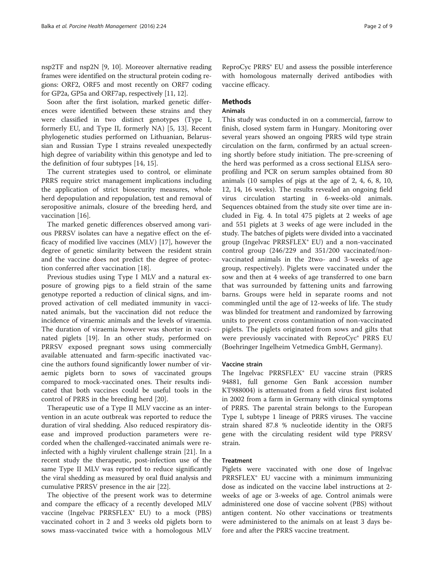nsp2TF and nsp2N [[9, 10](#page-7-0)]. Moreover alternative reading frames were identified on the structural protein coding regions: ORF2, ORF5 and most recently on ORF7 coding for GP2a, GP5a and ORF7ap, respectively [[11](#page-7-0), [12\]](#page-7-0).

Soon after the first isolation, marked genetic differences were identified between these strains and they were classified in two distinct genotypes (Type I, formerly EU, and Type II, formerly NA) [[5, 13](#page-7-0)]. Recent phylogenetic studies performed on Lithuanian, Belarussian and Russian Type I strains revealed unexpectedly high degree of variability within this genotype and led to the definition of four subtypes [[14, 15\]](#page-7-0).

The current strategies used to control, or eliminate PRRS require strict management implications including the application of strict biosecurity measures, whole herd depopulation and repopulation, test and removal of seropositive animals, closure of the breeding herd, and vaccination [\[16\]](#page-7-0).

The marked genetic differences observed among various PRRSV isolates can have a negative effect on the efficacy of modified live vaccines (MLV) [[17](#page-7-0)], however the degree of genetic similarity between the resident strain and the vaccine does not predict the degree of protection conferred after vaccination [\[18\]](#page-7-0).

Previous studies using Type I MLV and a natural exposure of growing pigs to a field strain of the same genotype reported a reduction of clinical signs, and improved activation of cell mediated immunity in vaccinated animals, but the vaccination did not reduce the incidence of viraemic animals and the levels of viraemia. The duration of viraemia however was shorter in vaccinated piglets [\[19](#page-7-0)]. In an other study, performed on PRRSV exposed pregnant sows using commercially available attenuated and farm-specific inactivated vaccine the authors found significantly lower number of viraemic piglets born to sows of vaccinated groups compared to mock-vaccinated ones. Their results indicated that both vaccines could be useful tools in the control of PRRS in the breeding herd [[20](#page-8-0)].

Therapeutic use of a Type II MLV vaccine as an intervention in an acute outbreak was reported to reduce the duration of viral shedding. Also reduced respiratory disease and improved production parameters were recorded when the challenged-vaccinated animals were reinfected with a highly virulent challenge strain [[21](#page-8-0)]. In a recent study the therapeutic, post-infection use of the same Type II MLV was reported to reduce significantly the viral shedding as measured by oral fluid analysis and cumulative PRRSV presence in the air [[22\]](#page-8-0).

The objective of the present work was to determine and compare the efficacy of a recently developed MLV vaccine (Ingelvac PRRSFLEX® EU) to a mock (PBS) vaccinated cohort in 2 and 3 weeks old piglets born to sows mass-vaccinated twice with a homologous MLV

ReproCyc PRRS® EU and assess the possible interference with homologous maternally derived antibodies with vaccine efficacy.

# **Methods**

# Animals

This study was conducted in on a commercial, farrow to finish, closed system farm in Hungary. Monitoring over several years showed an ongoing PRRS wild type strain circulation on the farm, confirmed by an actual screening shortly before study initiation. The pre-screening of the herd was performed as a cross sectional ELISA seroprofiling and PCR on serum samples obtained from 80 animals (10 samples of pigs at the age of 2, 4, 6, 8, 10, 12, 14, 16 weeks). The results revealed an ongoing field virus circulation starting in 6-weeks-old animals. Sequences obtained from the study site over time are included in Fig. [4.](#page-6-0) In total 475 piglets at 2 weeks of age and 551 piglets at 3 weeks of age were included in the study. The batches of piglets were divided into a vaccinated group (Ingelvac PRRSFLEX® EU) and a non-vaccinated control group (246/229 and 351/200 vaccinated/nonvaccinated animals in the 2two- and 3-weeks of age group, respectively). Piglets were vaccinated under the sow and then at 4 weeks of age transferred to one barn that was surrounded by fattening units and farrowing barns. Groups were held in separate rooms and not commingled until the age of 12-weeks of life. The study was blinded for treatment and randomized by farrowing units to prevent cross contamination of non-vaccinated piglets. The piglets originated from sows and gilts that were previously vaccinated with ReproCyc® PRRS EU (Boehringer Ingelheim Vetmedica GmbH, Germany).

## Vaccine strain

The Ingelvac PRRSFLEX® EU vaccine strain (PRRS 94881, full genome Gen Bank accession number KT988004) is attenuated from a field virus first isolated in 2002 from a farm in Germany with clinical symptoms of PRRS. The parental strain belongs to the European Type I, subtype 1 lineage of PRRS viruses. The vaccine strain shared 87.8 % nucleotide identity in the ORF5 gene with the circulating resident wild type PRRSV strain.

## Treatment

Piglets were vaccinated with one dose of Ingelvac PRRSFLEX® EU vaccine with a minimum immunizing dose as indicated on the vaccine label instructions at 2 weeks of age or 3-weeks of age. Control animals were administered one dose of vaccine solvent (PBS) without antigen content. No other vaccinations or treatments were administered to the animals on at least 3 days before and after the PRRS vaccine treatment.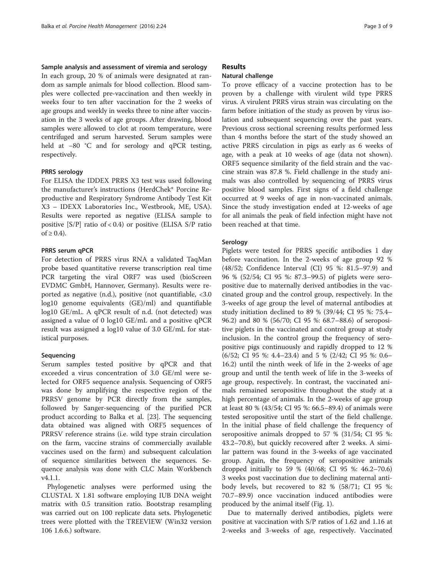### Sample analysis and assessment of viremia and serology

In each group, 20 % of animals were designated at random as sample animals for blood collection. Blood samples were collected pre-vaccination and then weekly in weeks four to ten after vaccination for the 2 weeks of age groups and weekly in weeks three to nine after vaccination in the 3 weeks of age groups. After drawing, blood samples were allowed to clot at room temperature, were centrifuged and serum harvested. Serum samples were held at −80 °C and for serology and qPCR testing, respectively.

### PRRS serology

For ELISA the IDDEX PRRS X3 test was used following the manufacturer's instructions (HerdChek\* Porcine Reproductive and Respiratory Syndrome Antibody Test Kit X3 – IDEXX Laboratories Inc., Westbrook, ME, USA). Results were reported as negative (ELISA sample to positive  $[S/P]$  ratio of < 0.4) or positive (ELISA S/P ratio  $of ≥ 0.4$ ).

### PRRS serum qPCR

For detection of PRRS virus RNA a validated TaqMan probe based quantitative reverse transcription real time PCR targeting the viral ORF7 was used (bioScreen EVDMC GmbH, Hannover, Germany). Results were reported as negative (n.d.), positive (not quantifiable, <3.0 log10 genome equivalents (GE)/ml) and quantifiable log10 GE/mL. A qPCR result of n.d. (not detected) was assigned a value of 0 log10 GE/mL and a positive qPCR result was assigned a log10 value of 3.0 GE/mL for statistical purposes.

### Sequencing

Serum samples tested positive by qPCR and that exceeded a virus concentration of 3.0 GE/ml were selected for ORF5 sequence analysis. Sequencing of ORF5 was done by amplifying the respective region of the PRRSV genome by PCR directly from the samples, followed by Sanger-sequencing of the purified PCR product according to Balka et al. [[23\]](#page-8-0). The sequencing data obtained was aligned with ORF5 sequences of PRRSV reference strains (i.e. wild type strain circulation on the farm, vaccine strains of commercially available vaccines used on the farm) and subsequent calculation of sequence similarities between the sequences. Sequence analysis was done with CLC Main Workbench v4.1.1.

Phylogenetic analyses were performed using the CLUSTAL X 1.81 software employing IUB DNA weight matrix with 0.5 transition ratio. Bootstrap resampling was carried out on 100 replicate data sets. Phylogenetic trees were plotted with the TREEVIEW (Win32 version 106 1.6.6.) software.

# Results

# Natural challenge

To prove efficacy of a vaccine protection has to be proven by a challenge with virulent wild type PRRS virus. A virulent PRRS virus strain was circulating on the farm before initiation of the study as proven by virus isolation and subsequent sequencing over the past years. Previous cross sectional screening results performed less than 4 months before the start of the study showed an active PRRS circulation in pigs as early as 6 weeks of age, with a peak at 10 weeks of age (data not shown). ORF5 sequence similarity of the field strain and the vaccine strain was 87.8 %. Field challenge in the study animals was also controlled by sequencing of PRRS virus positive blood samples. First signs of a field challenge occurred at 9 weeks of age in non-vaccinated animals. Since the study investigation ended at 12-weeks of age for all animals the peak of field infection might have not been reached at that time.

## Serology

Piglets were tested for PRRS specific antibodies 1 day before vaccination. In the 2-weeks of age group 92 % (48/52; Confidence Interval (CI) 95 %: 81.5–97.9) and 96 % (52/54; CI 95 %: 87.3–99.5) of piglets were seropositive due to maternally derived antibodies in the vaccinated group and the control group, respectively. In the 3-weeks of age group the level of maternal antibodies at study initiation declined to 89 % (39/44; CI 95 %: 75.4– 96.2) and 80 % (56/70; CI 95 %: 68.7–88.6) of seropositive piglets in the vaccinated and control group at study inclusion. In the control group the frequency of seropositive pigs continuously and rapidly dropped to 12 % (6/52; CI 95 %: 4.4–23.4) and 5 % (2/42; CI 95 %: 0.6– 16.2) until the ninth week of life in the 2-weeks of age group and until the tenth week of life in the 3-weeks of age group, respectively. In contrast, the vaccinated animals remained seropositive throughout the study at a high percentage of animals. In the 2-weeks of age group at least 80 % (43/54; CI 95 %: 66.5–89.4) of animals were tested seropositive until the start of the field challenge. In the initial phase of field challenge the frequency of seropositive animals dropped to 57 % (31/54; CI 95 %: 43.2–70.8), but quickly recovered after 2 weeks. A similar pattern was found in the 3-weeks of age vaccinated group. Again, the frequency of seropositive animals dropped initially to 59 % (40/68; CI 95 %: 46.2–70.6) 3 weeks post vaccination due to declining maternal antibody levels, but recovered to 82 % (58/71; CI 95 %: 70.7–89.9) once vaccination induced antibodies were produced by the animal itself (Fig. [1\)](#page-3-0).

Due to maternally derived antibodies, piglets were positive at vaccination with S/P ratios of 1.62 and 1.16 at 2-weeks and 3-weeks of age, respectively. Vaccinated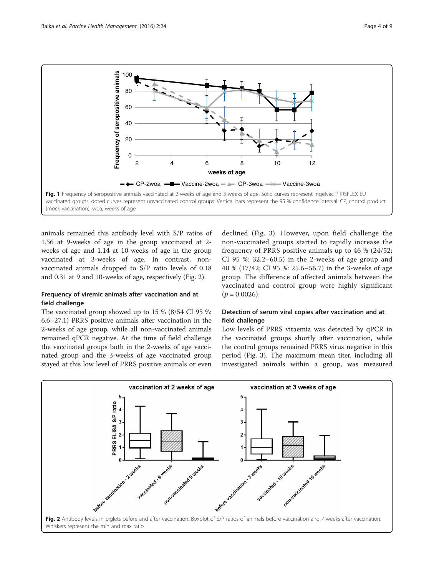<span id="page-3-0"></span>

animals remained this antibody level with S/P ratios of 1.56 at 9-weeks of age in the group vaccinated at 2 weeks of age and 1.14 at 10-weeks of age in the group vaccinated at 3-weeks of age. In contrast, nonvaccinated animals dropped to S/P ratio levels of 0.18 and 0.31 at 9 and 10-weeks of age, respectively (Fig. 2).

# Frequency of viremic animals after vaccination and at field challenge

The vaccinated group showed up to 15 % (8/54 CI 95 %: 6.6–27.1) PRRS positive animals after vaccination in the 2-weeks of age group, while all non-vaccinated animals remained qPCR negative. At the time of field challenge the vaccinated groups both in the 2-weeks of age vaccinated group and the 3-weeks of age vaccinated group stayed at this low level of PRRS positive animals or even

declined (Fig. [3](#page-4-0)). However, upon field challenge the non-vaccinated groups started to rapidly increase the frequency of PRRS positive animals up to 46 % (24/52; CI 95 %: 32.2–60.5) in the 2-weeks of age group and 40 % (17/42; CI 95 %: 25.6–56.7) in the 3-weeks of age group. The difference of affected animals between the vaccinated and control group were highly significant  $(p = 0.0026)$ .

# Detection of serum viral copies after vaccination and at field challenge

Low levels of PRRS viraemia was detected by qPCR in the vaccinated groups shortly after vaccination, while the control groups remained PRRS virus negative in this period (Fig. [3\)](#page-4-0). The maximum mean titer, including all investigated animals within a group, was measured

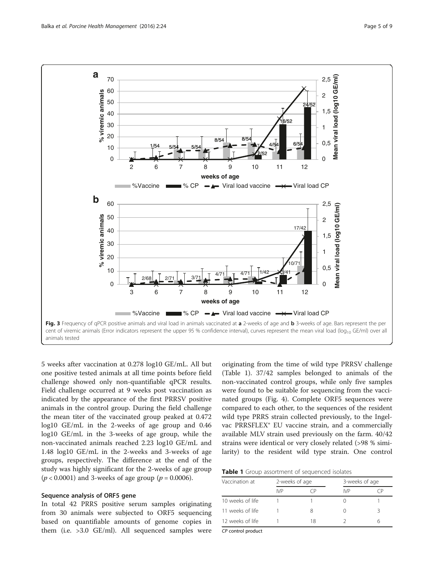<span id="page-4-0"></span>

5 weeks after vaccination at 0.278 log10 GE/mL. All but one positive tested animals at all time points before field challenge showed only non-quantifiable qPCR results. Field challenge occurred at 9 weeks post vaccination as indicated by the appearance of the first PRRSV positive animals in the control group. During the field challenge the mean titer of the vaccinated group peaked at 0.472 log10 GE/mL in the 2-weeks of age group and 0.46 log10 GE/mL in the 3-weeks of age group, while the non-vaccinated animals reached 2.23 log10 GE/mL and 1.48 log10 GE/mL in the 2-weeks and 3-weeks of age groups, respectively. The difference at the end of the study was highly significant for the 2-weeks of age group ( $p$  < 0.0001) and 3-weeks of age group ( $p$  = 0.0006).

## Sequence analysis of ORF5 gene

In total 42 PRRS positive serum samples originating from 30 animals were subjected to ORF5 sequencing based on quantifiable amounts of genome copies in them (i.e. >3.0 GE/ml). All sequenced samples were

originating from the time of wild type PRRSV challenge (Table 1). 37/42 samples belonged to animals of the non-vaccinated control groups, while only five samples were found to be suitable for sequencing from the vaccinated groups (Fig. [4](#page-6-0)). Complete ORF5 sequences were compared to each other, to the sequences of the resident wild type PRRS strain collected previously, to the Ingelvac PRRSFLEX® EU vaccine strain, and a commercially available MLV strain used previously on the farm. 40/42 strains were identical or very closely related (>98 % similarity) to the resident wild type strain. One control

Table 1 Group assortment of sequenced isolates

| Vaccination at   | 2-weeks of age |    | 3-weeks of age |    |
|------------------|----------------|----|----------------|----|
|                  | IVP            |    | IVP            | Ή. |
| 10 weeks of life |                |    |                |    |
| 11 weeks of life |                |    |                |    |
| 12 weeks of life |                | 18 |                |    |

CP control product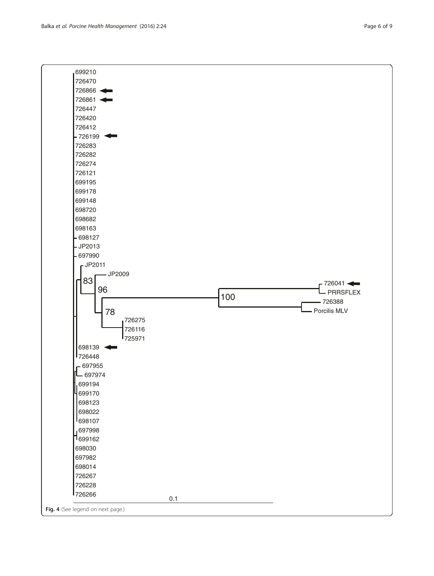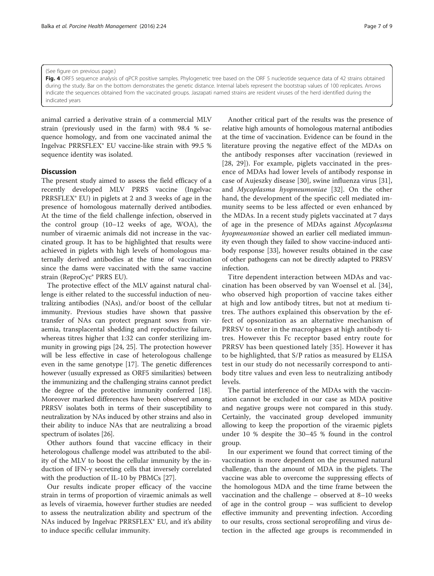#### <span id="page-6-0"></span>(See figure on previous page.)

Fig. 4 ORF5 sequence analysis of qPCR positive samples. Phylogenetic tree based on the ORF 5 nucleotide sequence data of 42 strains obtained during the study. Bar on the bottom demonstrates the genetic distance. Internal labels represent the bootstrap values of 100 replicates. Arrows indicate the sequences obtained from the vaccinated groups. Jaszapati named strains are resident viruses of the herd identified during the indicated years

animal carried a derivative strain of a commercial MLV strain (previously used in the farm) with 98.4 % sequence homology, and from one vaccinated animal the Ingelvac PRRSFLEX® EU vaccine-like strain with 99.5 % sequence identity was isolated.

### **Discussion**

The present study aimed to assess the field efficacy of a recently developed MLV PRRS vaccine (Ingelvac PRRSFLEX® EU) in piglets at 2 and 3 weeks of age in the presence of homologous maternally derived antibodies. At the time of the field challenge infection, observed in the control group (10–12 weeks of age, WOA), the number of viraemic animals did not increase in the vaccinated group. It has to be highlighted that results were achieved in piglets with high levels of homologous maternally derived antibodies at the time of vaccination since the dams were vaccinated with the same vaccine strain (ReproCyc® PRRS EU).

The protective effect of the MLV against natural challenge is either related to the successful induction of neutralizing antibodies (NAs), and/or boost of the cellular immunity. Previous studies have shown that passive transfer of NAs can protect pregnant sows from viraemia, transplacental shedding and reproductive failure, whereas titres higher that 1:32 can confer sterilizing immunity in growing pigs [\[24](#page-8-0), [25](#page-8-0)]. The protection however will be less effective in case of heterologous challenge even in the same genotype [\[17](#page-7-0)]. The genetic differences however (usually expressed as ORF5 similarities) between the immunizing and the challenging strains cannot predict the degree of the protective immunity conferred [[18](#page-7-0)]. Moreover marked differences have been observed among PRRSV isolates both in terms of their susceptibility to neutralization by NAs induced by other strains and also in their ability to induce NAs that are neutralizing a broad spectrum of isolates [\[26\]](#page-8-0).

Other authors found that vaccine efficacy in their heterologous challenge model was attributed to the ability of the MLV to boost the cellular immunity by the induction of IFN-γ secreting cells that inversely correlated with the production of IL-10 by PBMCs [\[27\]](#page-8-0).

Our results indicate proper efficacy of the vaccine strain in terms of proportion of viraemic animals as well as levels of viraemia, however further studies are needed to assess the neutralization ability and spectrum of the NAs induced by Ingelvac PRRSFLEX® EU, and it's ability to induce specific cellular immunity.

Another critical part of the results was the presence of relative high amounts of homologous maternal antibodies at the time of vaccination. Evidence can be found in the literature proving the negative effect of the MDAs on the antibody responses after vaccination (reviewed in [[28, 29\]](#page-8-0)). For example, piglets vaccinated in the presence of MDAs had lower levels of antibody response in case of Aujeszky disease [\[30](#page-8-0)], swine influenza virus [\[31](#page-8-0)], and Mycoplasma hyopneumoniae [[32\]](#page-8-0). On the other hand, the development of the specific cell mediated immunity seems to be less affected or even enhanced by the MDAs. In a recent study piglets vaccinated at 7 days of age in the presence of MDAs against Mycoplasma hyopneumoniae showed an earlier cell mediated immunity even though they failed to show vaccine-induced antibody response [[33](#page-8-0)], however results obtained in the case of other pathogens can not be directly adapted to PRRSV infection.

Titre dependent interaction between MDAs and vaccination has been observed by van Woensel et al. [[34](#page-8-0)], who observed high proportion of vaccine takes either at high and low antibody titres, but not at medium titres. The authors explained this observation by the effect of opsonization as an alternative mechanism of PRRSV to enter in the macrophages at high antibody titres. However this Fc receptor based entry route for PRRSV has been questioned lately [[35](#page-8-0)]. However it has to be highlighted, that S/P ratios as measured by ELISA test in our study do not necessarily correspond to antibody titre values and even less to neutralizing antibody levels.

The partial interference of the MDAs with the vaccination cannot be excluded in our case as MDA positive and negative groups were not compared in this study. Certainly, the vaccinated group developed immunity allowing to keep the proportion of the viraemic piglets under 10 % despite the 30–45 % found in the control group.

In our experiment we found that correct timing of the vaccination is more dependent on the presumed natural challenge, than the amount of MDA in the piglets. The vaccine was able to overcome the suppressing effects of the homologous MDA and the time frame between the vaccination and the challenge – observed at 8–10 weeks of age in the control group – was sufficient to develop effective immunity and preventing infection. According to our results, cross sectional seroprofiling and virus detection in the affected age groups is recommended in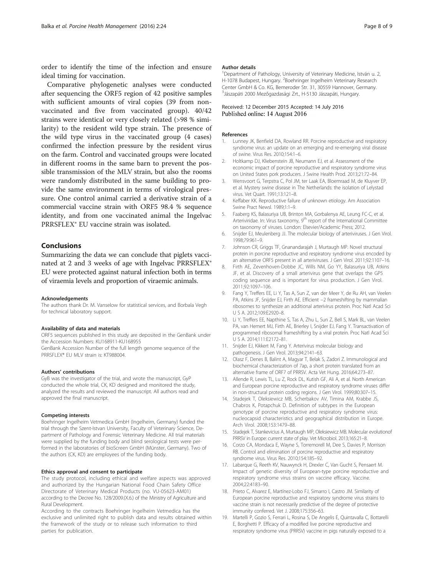<span id="page-7-0"></span>order to identify the time of the infection and ensure ideal timing for vaccination.

Comparative phylogenetic analyses were conducted after sequencing the ORF5 region of 42 positive samples with sufficient amounts of viral copies (39 from nonvaccinated and five from vaccinated group). 40/42 strains were identical or very closely related (>98 % similarity) to the resident wild type strain. The presence of the wild type virus in the vaccinated group (4 cases) confirmed the infection pressure by the resident virus on the farm. Control and vaccinated groups were located in different rooms in the same barn to prevent the possible transmission of the MLV strain, but also the rooms were randomly distributed in the same building to provide the same environment in terms of virological pressure. One control animal carried a derivative strain of a commercial vaccine strain with ORF5 98.4 % sequence identity, and from one vaccinated animal the Ingelvac PRRSFLEX® EU vaccine strain was isolated.

# Conclusions

Summarizing the data we can conclude that piglets vaccinated at 2 and 3 weeks of age with Ingelvac PRRSFLEX® EU were protected against natural infection both in terms of viraemia levels and proportion of viraemic animals.

#### Acknowledgements

The authors thank Dr. M. Vanselow for statistical services, and Borbala Vegh for technical laboratory support.

#### Availability of data and materials

ORF5 sequences published in this study are deposited in the GenBank under the Accession Numbers: KU168911-KU168955 GenBank Accession Number of the full length genome sequence of the PRRSFLEX® EU MLV strain is: KT988004.

#### Authors' contributions

GyB was the investigator of the trial, and wrote the manuscript, GyP conducted the whole trial, CK, KD designed and monitored the study, analyzed the results and reviewed the manuscript. All authors read and approved the final manuscript.

#### Competing interests

Boehringer Ingelheim Vetmedica GmbH (Ingelheim, Germany) funded the trial through the Szent-Istvan University, Faculty of Veterinary Science, Department of Pathology and Forensic Veterinary Medicine. All trial materials were supplied by the funding body and blind serological tests were performed in the laboratories of bioScreen GmbH (Münster, Germany). Two of the authors (CK, KD) are employees of the funding body.

#### Ethics approval and consent to participate

The study protocol, including ethical and welfare aspects was approved and authorized by the Hungarian National Food Chain Safety Office Directorate of Veterinary Medical Products (no. VU-05623-AM01) according to the Decree No. 128/2009.(X.6.) of the Ministry of Agriculture and Rural Development.

According to the contracts Boehringer Ingelheim Vetmedica has the exclusive and unlimited right to publish data and results obtained within the framework of the study or to release such information to third parties for publication.

#### Author details

<sup>1</sup> Department of Pathology, University of Veterinary Medicine, István u. 2 H-1078 Budapest, Hungary. <sup>2</sup>Boehringer Ingelheim Veterinary Research Center GmbH & Co. KG, Bemeroder Str. 31, 30559 Hannover, Germany. 3 Jászapáti 2000 Mezőgazdasági Zrt., H-5130 Jászapáti, Hungary.

### Received: 12 December 2015 Accepted: 14 July 2016 Published online: 14 August 2016

## References

- 1. Lunney JK, Benfield DA, Rowland RR. Porcine reproductive and respiratory syndrome virus: an update on an emerging and re-emerging viral disease of swine. Virus Res. 2010;154:1–6.
- 2. Holtkamp DJ, Kliebenstein JB, Neumann EJ, et al. Assessment of the economic impact of porcine reproductive and respiratory syndrome virus on United States pork producers. J Swine Health Prod. 2013;21:72–84.
- 3. Wensvoort G, Terpstra C, Pol JM, ter Laak EA, Bloemraad M, de Kluyver EP, et al. Mystery swine disease in The Netherlands: the isolation of Lelystad virus. Vet Quart. 1991;13:121–8.
- 4. Keffaber KK. Reproductive failure of unknown etiology. Am Association Swine Pract Newsl. 1989;1:1–9.
- 5. Faaberg KS, Balasuriya UB, Brinton MA, Gorbalenya AE, Leung FC-C, et al. Arteriviridae. In: Virus taxonomy, 9<sup>th</sup> report of the International Committee on taxonomy of viruses. London: Elsevier/Academic Press; 2012.
- 6. Snijder EJ, Meulenberg JJ. The molecular biology of arteriviruses. J Gen Virol. 1998;79:961–9.
- 7. Johnson CR, Griggs TF, Gnanandarajah J, Murtaugh MP. Novel structural protein in porcine reproductive and respiratory syndrome virus encoded by an alternative ORF5 present in all arteriviruses. J Gen Virol. 2011;92:1107–16.
- 8. Firth AE, Zevenhoven-Dobbe JC, Wills NM, Go YY, Balasuriya UB, Atkins JF, et al. Discovery of a small arterivirus gene that overlaps the GP5 coding sequence and is important for virus production. J Gen Virol. 2011;92:1097–106.
- 9. Fang Y, Treffers EE, Li Y, Tas A, Sun Z, van der Meer Y, de Ru AH, van Veelen PA, Atkins JF, Snijder EJ, Firth AE. Efficient −2 frameshifting by mammalian ribosomes to synthesize an additional arterivirus protein. Proc Natl Acad Sci U S A. 2012;109:E2920–8.
- 10. Li Y, Treffers EE, Napthine S, Tas A, Zhu L, Sun Z, Bell S, Mark BL, van Veelen PA, van Hemert MJ, Firth AE, Brierley I, Snijder EJ, Fang Y. Transactivation of programmed ribosomal frameshifting by a viral protein. Proc Natl Acad Sci U S A. 2014;111:E2172–81.
- 11. Snijder EJ, Kikkert M, Fang Y. Arterivirus molecular biology and pathogenesis. J Gen Virol. 2013;94:2141–63.
- 12. Olasz F, Denes B, Balint A, Magyar T, Belak S, Zadori Z. Immunological and biochemical characterization of 7ap, a short protein translated from an alternative frame of ORF7 of PRRSV. Acta Vet Hung. 2016;64:273–87.
- 13. Allende R, Lewis TL, Lu Z, Rock DL, Kutish GF, Ali A, et al. North American and European porcine reproductive and respiratory syndrome viruses differ in non-structural protein coding regions. J Gen Virol. 1999;80:307–15.
- 14. Stadejek T, Oleksiewicz MB, Scherbakov AV, Timina AM, Krabbe JS, Chabros K, Potapchuk D. Definition of subtypes in the European genotype of porcine reproductive and respiratory syndrome virus: nucleocapsid characteristics and geographical distribution in Europe. Arch Virol. 2008;153:1479–88.
- 15. Stadejek T, Stankevicius A, Murtaugh MP, Oleksiewicz MB. Molecular evolutionof PRRSV in Europe: current state of play. Vet Microbiol. 2013;165:21–8.
- 16. Corzo CA, Mondaca E, Wayne S, Torremorell M, Dee S, Davies P, Morrison RB. Control and elimination of porcine reproductive and respiratory syndrome virus. Virus Res. 2010;154:185–92.
- 17. Labarque G, Reeth KV, Nauwynck H, Drexler C, Van Gucht S, Pensaert M. Impact of genetic diversity of European-type porcine reproductive and respiratory syndrome virus strains on vaccine efficacy. Vaccine. 2004;22:4183–90.
- 18. Prieto C, Alvarez E, Martínez-Lobo FJ, Simarro I, Castro JM. Similarity of European porcine reproductive and respiratory syndrome virus strains to vaccine strain is not necessarily predictive of the degree of protective immunity conferred. Vet J. 2008;175:356–63.
- 19. Martelli P, Gozio S, Ferrari L, Rosina S, De Angelis E, Quintavalla C, Bottarelli E, Borghetti P. Efficacy of a modified live porcine reproductive and respiratory syndrome virus (PRRSV) vaccine in pigs naturally exposed to a